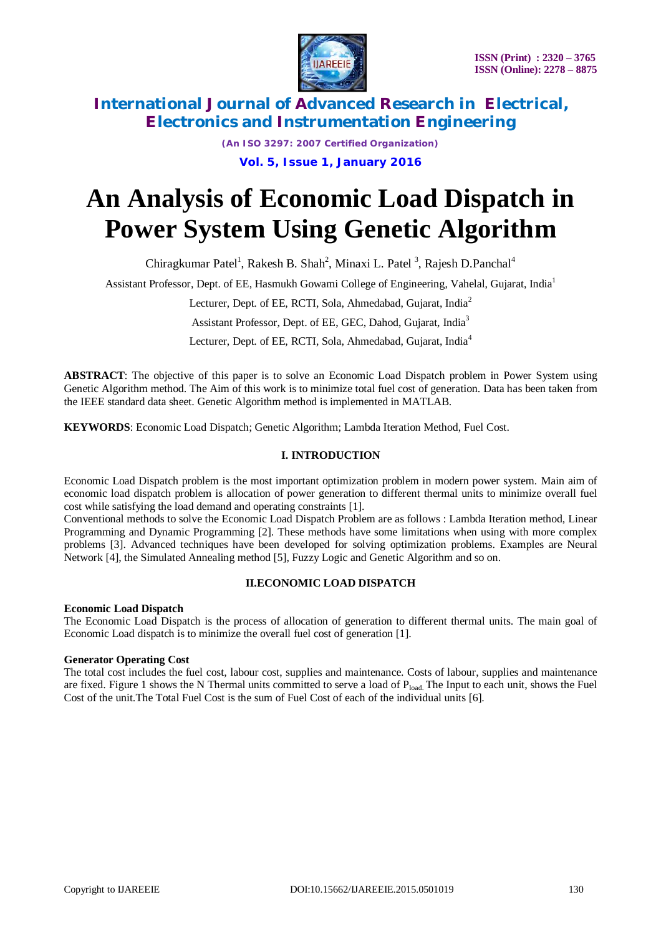

*(An ISO 3297: 2007 Certified Organization)* **Vol. 5, Issue 1, January 2016**

# **An Analysis of Economic Load Dispatch in Power System Using Genetic Algorithm**

Chiragkumar Patel<sup>1</sup>, Rakesh B. Shah<sup>2</sup>, Minaxi L. Patel<sup>3</sup>, Rajesh D.Panchal<sup>4</sup>

Assistant Professor, Dept. of EE, Hasmukh Gowami College of Engineering, Vahelal, Gujarat, India<sup>1</sup>

Lecturer, Dept. of EE, RCTI, Sola, Ahmedabad, Gujarat, India<sup>2</sup>

Assistant Professor, Dept. of EE, GEC, Dahod, Gujarat, India<sup>3</sup>

Lecturer, Dept. of EE, RCTI, Sola, Ahmedabad, Gujarat, India<sup>4</sup>

**ABSTRACT**: The objective of this paper is to solve an Economic Load Dispatch problem in Power System using Genetic Algorithm method. The Aim of this work is to minimize total fuel cost of generation. Data has been taken from the IEEE standard data sheet. Genetic Algorithm method is implemented in MATLAB.

**KEYWORDS**: Economic Load Dispatch; Genetic Algorithm; Lambda Iteration Method, Fuel Cost.

## **I. INTRODUCTION**

Economic Load Dispatch problem is the most important optimization problem in modern power system. Main aim of economic load dispatch problem is allocation of power generation to different thermal units to minimize overall fuel cost while satisfying the load demand and operating constraints [1].

Conventional methods to solve the Economic Load Dispatch Problem are as follows : Lambda Iteration method, Linear Programming and Dynamic Programming [2]. These methods have some limitations when using with more complex problems [3]. Advanced techniques have been developed for solving optimization problems. Examples are Neural Network [4], the Simulated Annealing method [5], Fuzzy Logic and Genetic Algorithm and so on.

## **II.ECONOMIC LOAD DISPATCH**

## **Economic Load Dispatch**

The Economic Load Dispatch is the process of allocation of generation to different thermal units. The main goal of Economic Load dispatch is to minimize the overall fuel cost of generation [1].

## **Generator Operating Cost**

The total cost includes the fuel cost, labour cost, supplies and maintenance. Costs of labour, supplies and maintenance are fixed. Figure 1 shows the N Thermal units committed to serve a load of  $P_{load}$ . The Input to each unit, shows the Fuel Cost of the unit.The Total Fuel Cost is the sum of Fuel Cost of each of the individual units [6].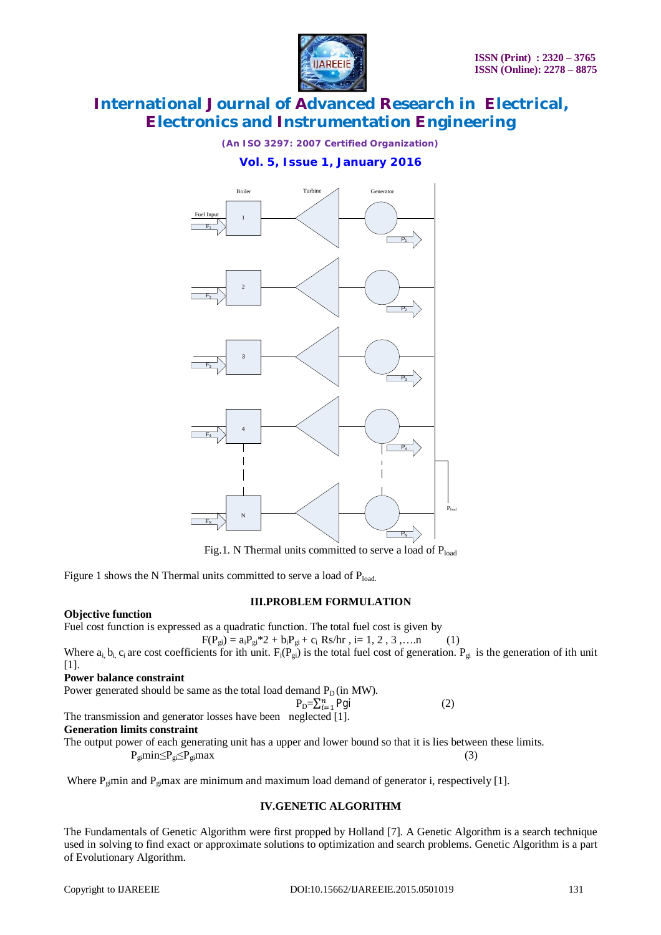

*(An ISO 3297: 2007 Certified Organization)*

# **Vol. 5, Issue 1, January 2016**



Fig.1. N Thermal units committed to serve a load of Pload

Figure 1 shows the N Thermal units committed to serve a load of  $P_{load}$ .

## **III.PROBLEM FORMULATION**

## **Objective function**

Fuel cost function is expressed as a quadratic function. The total fuel cost is given by

$$
F(P_{gi}) = a_i P_{gi} * 2 + b_i P_{gi} + c_i Rs/hr, i = 1, 2, 3, \dots n \tag{1}
$$

Where  $a_i$ ,  $b_i$ ,  $c_i$  are cost coefficients for ith unit.  $F_i(P_{gi})$  is the total fuel cost of generation.  $P_{gi}$  is the generation of ith unit [1].

## **Power balance constraint**

Power generated should be same as the total load demand  $P_D$  (in MW).

$$
P_{D} = \sum_{i=1}^{n} Pgi
$$
 (2)

The transmission and generator losses have been neglected [1].

#### **Generation limits constraint**

The output power of each generating unit has a upper and lower bound so that it is lies between these limits.  $P_{gi}min \leq P_{gi}max$  (3)

Where  $P_{\text{g}}$  min and  $P_{\text{g}}$  max are minimum and maximum load demand of generator i, respectively [1].

## **IV.GENETIC ALGORITHM**

The Fundamentals of Genetic Algorithm were first propped by Holland [7]. A Genetic Algorithm is a search technique used in solving to find exact or approximate solutions to optimization and search problems. Genetic Algorithm is a part of Evolutionary Algorithm.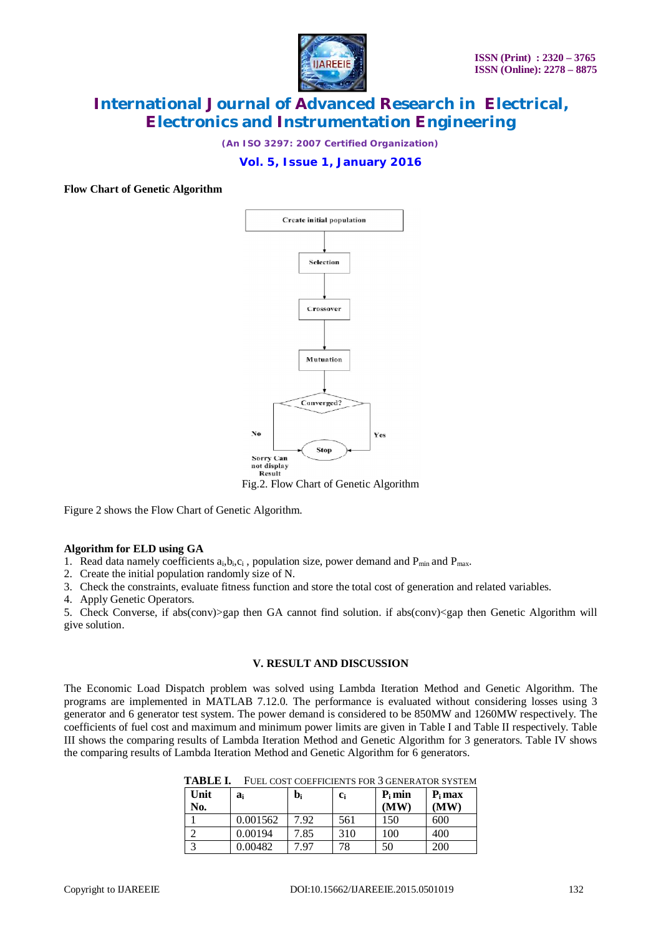

*(An ISO 3297: 2007 Certified Organization)*

# **Vol. 5, Issue 1, January 2016**

## **Flow Chart of Genetic Algorithm**



Figure 2 shows the Flow Chart of Genetic Algorithm.

## **Algorithm for ELD using GA**

1. Read data namely coefficients  $a_i, b_i, c_i$ , population size, power demand and  $P_{min}$  and  $P_{max}$ .

2. Create the initial population randomly size of N.

3. Check the constraints, evaluate fitness function and store the total cost of generation and related variables.

4. Apply Genetic Operators.

5. Check Converse, if abs(conv)>gap then GA cannot find solution. if abs(conv)<gap then Genetic Algorithm will give solution.

## **V. RESULT AND DISCUSSION**

The Economic Load Dispatch problem was solved using Lambda Iteration Method and Genetic Algorithm. The programs are implemented in MATLAB 7.12.0. The performance is evaluated without considering losses using 3 generator and 6 generator test system. The power demand is considered to be 850MW and 1260MW respectively. The coefficients of fuel cost and maximum and minimum power limits are given in Table I and Table II respectively. Table III shows the comparing results of Lambda Iteration Method and Genetic Algorithm for 3 generators. Table IV shows the comparing results of Lambda Iteration Method and Genetic Algorithm for 6 generators.

| Unit | ai       | b,   | $c_i$ | $P_i$ min | $P_i$ max |
|------|----------|------|-------|-----------|-----------|
| No.  |          |      |       | (MW)      | (MW)      |
|      | 0.001562 | 7.92 | 561   | 150       | 600       |
|      | 0.00194  | 7.85 | 310   | 100       | 400       |
|      | 0.00482  | '.97 | 78    | 50        | 200       |

**TABLE I.** FUEL COST COEFFICIENTS FOR 3 GENERATOR SYSTEM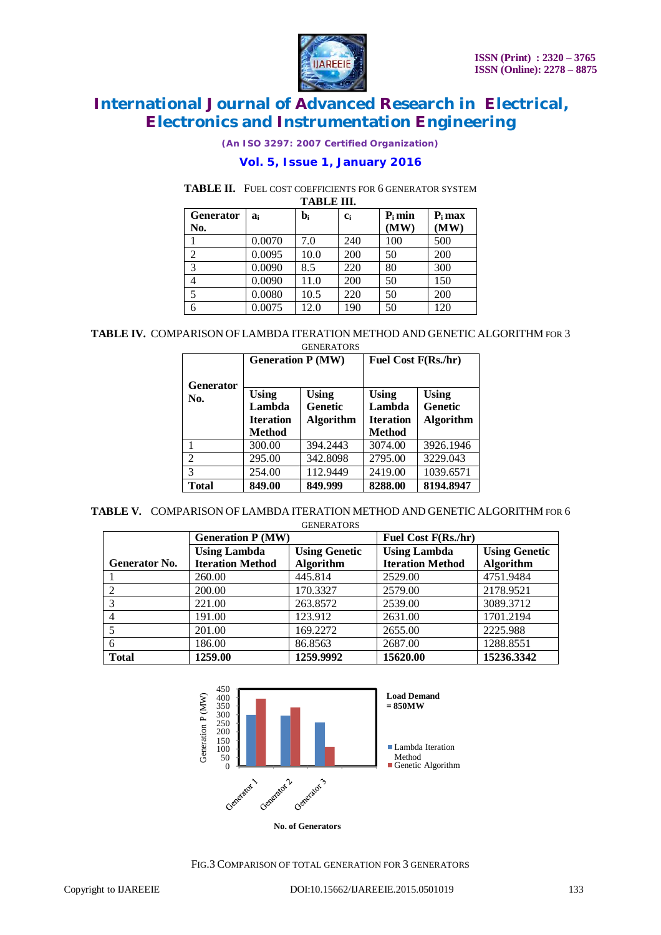

*(An ISO 3297: 2007 Certified Organization)*

# **Vol. 5, Issue 1, January 2016**

# **TABLE II.** FUEL COST COEFFICIENTS FOR 6 GENERATOR SYSTEM

**TABLE III.** 

| <b>Generator</b> | a.     | $\mathbf{b}_{\mathbf{i}}$ | $c_i$ | $P_i$ min | $P_i$ max |
|------------------|--------|---------------------------|-------|-----------|-----------|
| No.              |        |                           |       | (MW)      | (MW)      |
|                  | 0.0070 | 7.0                       | 240   | 100       | 500       |
| $\overline{c}$   | 0.0095 | 10.0                      | 200   | 50        | 200       |
| 3                | 0.0090 | 8.5                       | 220   | 80        | 300       |
| 4                | 0.0090 | 11.0                      | 200   | 50        | 150       |
| 5                | 0.0080 | 10.5                      | 220   | 50        | 200       |
| 6                | 0.0075 | 12.0                      | 190   | 50        | 120       |

**TABLE IV.** COMPARISON OF LAMBDA ITERATION METHOD AND GENETIC ALGORITHM FOR 3 **GENERATORS** 

|                         | <b>Generation P (MW)</b>                             |                                                    | Fuel Cost F(Rs./hr)                                         |                                                    |  |
|-------------------------|------------------------------------------------------|----------------------------------------------------|-------------------------------------------------------------|----------------------------------------------------|--|
| <b>Generator</b><br>No. | Using<br>Lambda<br><b>Iteration</b><br><b>Method</b> | <b>Using</b><br><b>Genetic</b><br><b>Algorithm</b> | <b>Using</b><br>Lambda<br><b>Iteration</b><br><b>Method</b> | <b>Using</b><br><b>Genetic</b><br><b>Algorithm</b> |  |
|                         | 300.00                                               | 394.2443                                           | 3074.00                                                     | 3926.1946                                          |  |
| $\overline{2}$          | 295.00                                               | 342.8098                                           | 2795.00                                                     | 3229.043                                           |  |
| 3                       | 254.00                                               | 112.9449                                           | 2419.00                                                     | 1039.6571                                          |  |
| <b>Total</b>            | 849.00                                               | 849.999                                            | 8288.00                                                     | 8194.8947                                          |  |

**TABLE V.** COMPARISON OF LAMBDA ITERATION METHOD AND GENETIC ALGORITHM FOR 6 **GENERATORS** 

|                      | <b>Generation P (MW)</b> |                      | Fuel Cost F(Rs./hr)     |                      |
|----------------------|--------------------------|----------------------|-------------------------|----------------------|
|                      | <b>Using Lambda</b>      | <b>Using Genetic</b> | <b>Using Lambda</b>     | <b>Using Genetic</b> |
| <b>Generator No.</b> | <b>Iteration Method</b>  | Algorithm            | <b>Iteration Method</b> | Algorithm            |
|                      | 260.00                   | 445.814              | 2529.00                 | 4751.9484            |
|                      | 200.00                   | 170.3327             | 2579.00                 | 2178.9521            |
| 3                    | 221.00                   | 263.8572             | 2539.00                 | 3089.3712            |
|                      | 191.00                   | 123.912              | 2631.00                 | 1701.2194            |
|                      | 201.00                   | 169.2272             | 2655.00                 | 2225.988             |
| 6                    | 186.00                   | 86.8563              | 2687.00                 | 1288.8551            |
| <b>Total</b>         | 1259.00                  | 1259.9992            | 15620.00                | 15236.3342           |



FIG.3 COMPARISON OF TOTAL GENERATION FOR 3 GENERATORS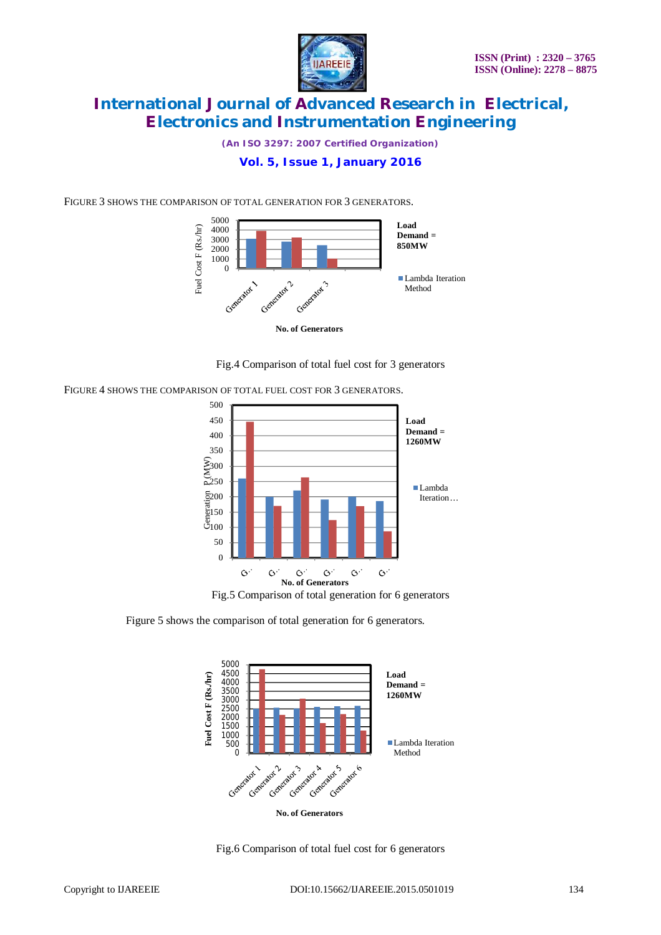

*(An ISO 3297: 2007 Certified Organization)*

# **Vol. 5, Issue 1, January 2016**

FIGURE 3 SHOWS THE COMPARISON OF TOTAL GENERATION FOR 3 GENERATORS.



Fig.4 Comparison of total fuel cost for 3 generators

FIGURE 4 SHOWS THE COMPARISON OF TOTAL FUEL COST FOR 3 GENERATORS.



Figure 5 shows the comparison of total generation for 6 generators.



Fig.6 Comparison of total fuel cost for 6 generators